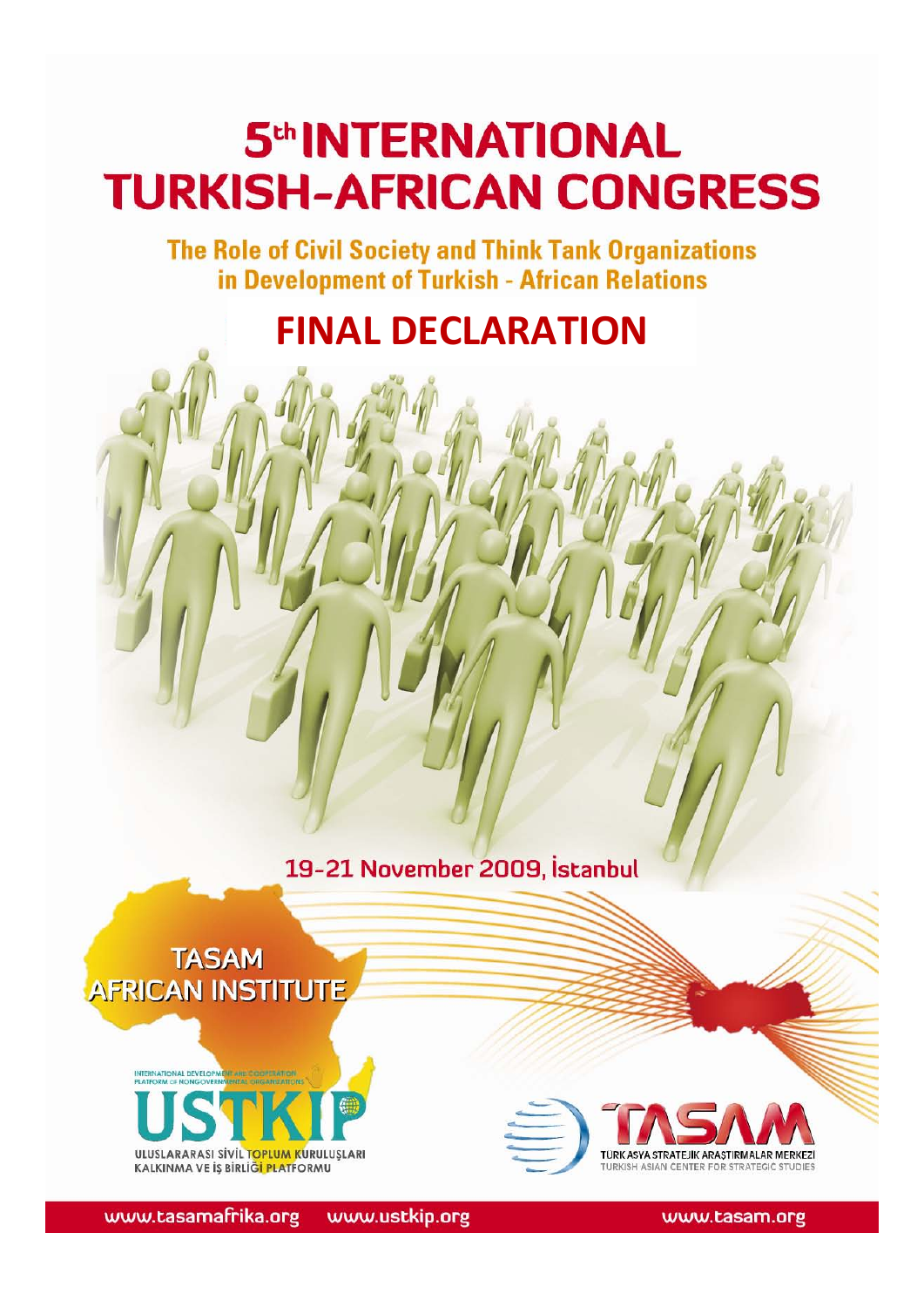# **FINAL SANAL SANAL SANAL TURKISH-AFRICAN CONGRESS**

**The Role of Civil Society and Think Tank Organizations** in Development of Turkish - African Relations

## **FINAL DECLARATION**

19-21 November 2009, İstanbul





www.tasamafrika.org www.ustkip.org www.tasam.org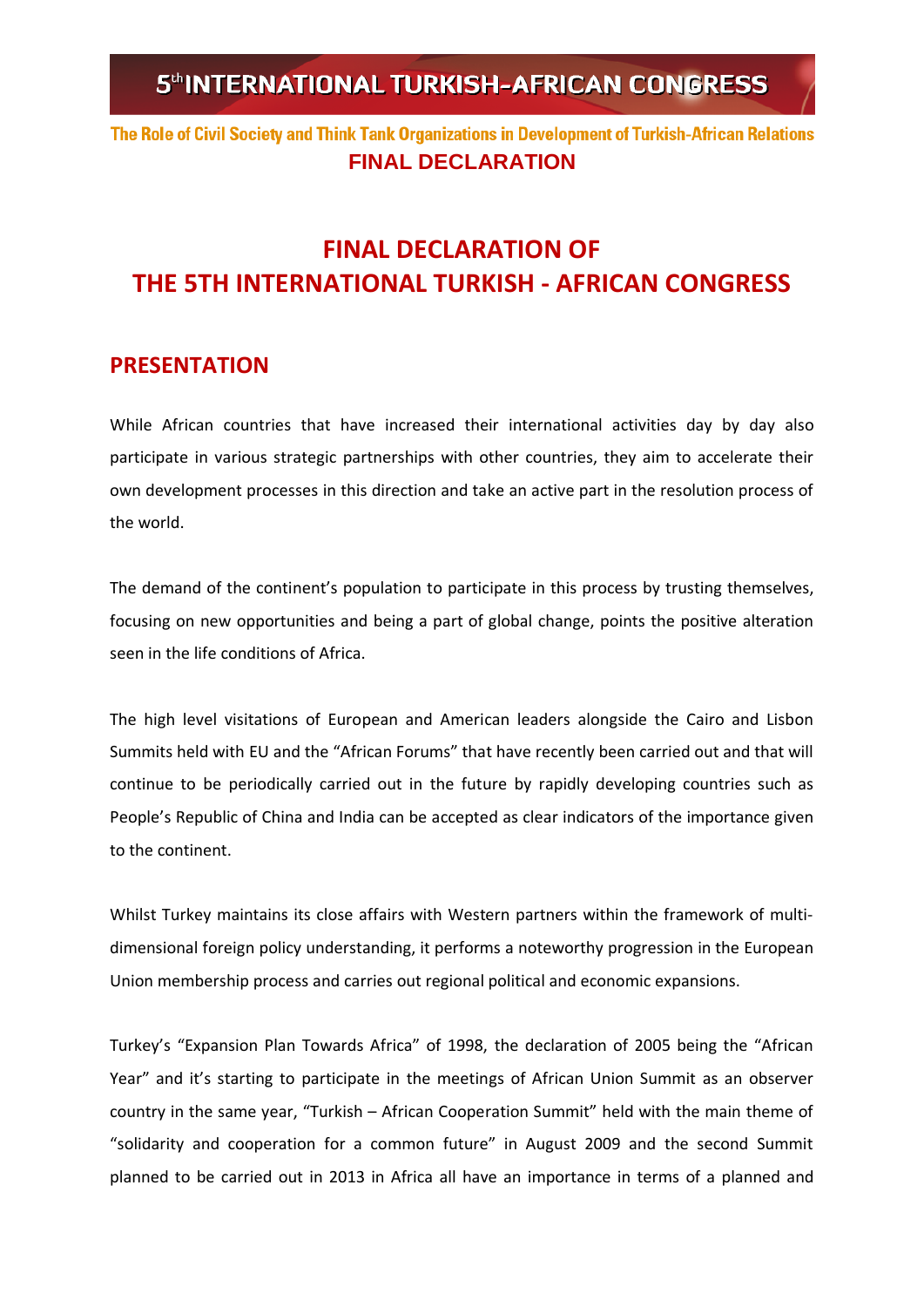#### The Role of Civil Society and Think Tank Organizations in Development of Turkish-African Relations **FINAL DECLARATION**

## **FINAL DECLARATION OF THE 5TH INTERNATIONAL TURKISH - AFRICAN CONGRESS**

#### **PRESENTATION**

While African countries that have increased their international activities day by day also participate in various strategic partnerships with other countries, they aim to accelerate their own development processes in this direction and take an active part in the resolution process of the world.

The demand of the continent's population to participate in this process by trusting themselves, focusing on new opportunities and being a part of global change, points the positive alteration seen in the life conditions of Africa.

The high level visitations of European and American leaders alongside the Cairo and Lisbon Summits held with EU and the "African Forums" that have recently been carried out and that will continue to be periodically carried out in the future by rapidly developing countries such as People's Republic of China and India can be accepted as clear indicators of the importance given to the continent.

Whilst Turkey maintains its close affairs with Western partners within the framework of multidimensional foreign policy understanding, it performs a noteworthy progression in the European Union membership process and carries out regional political and economic expansions.

Turkey's "Expansion Plan Towards Africa" of 1998, the declaration of 2005 being the "African Year" and it's starting to participate in the meetings of African Union Summit as an observer country in the same year, "Turkish – African Cooperation Summit" held with the main theme of "solidarity and cooperation for a common future" in August 2009 and the second Summit planned to be carried out in 2013 in Africa all have an importance in terms of a planned and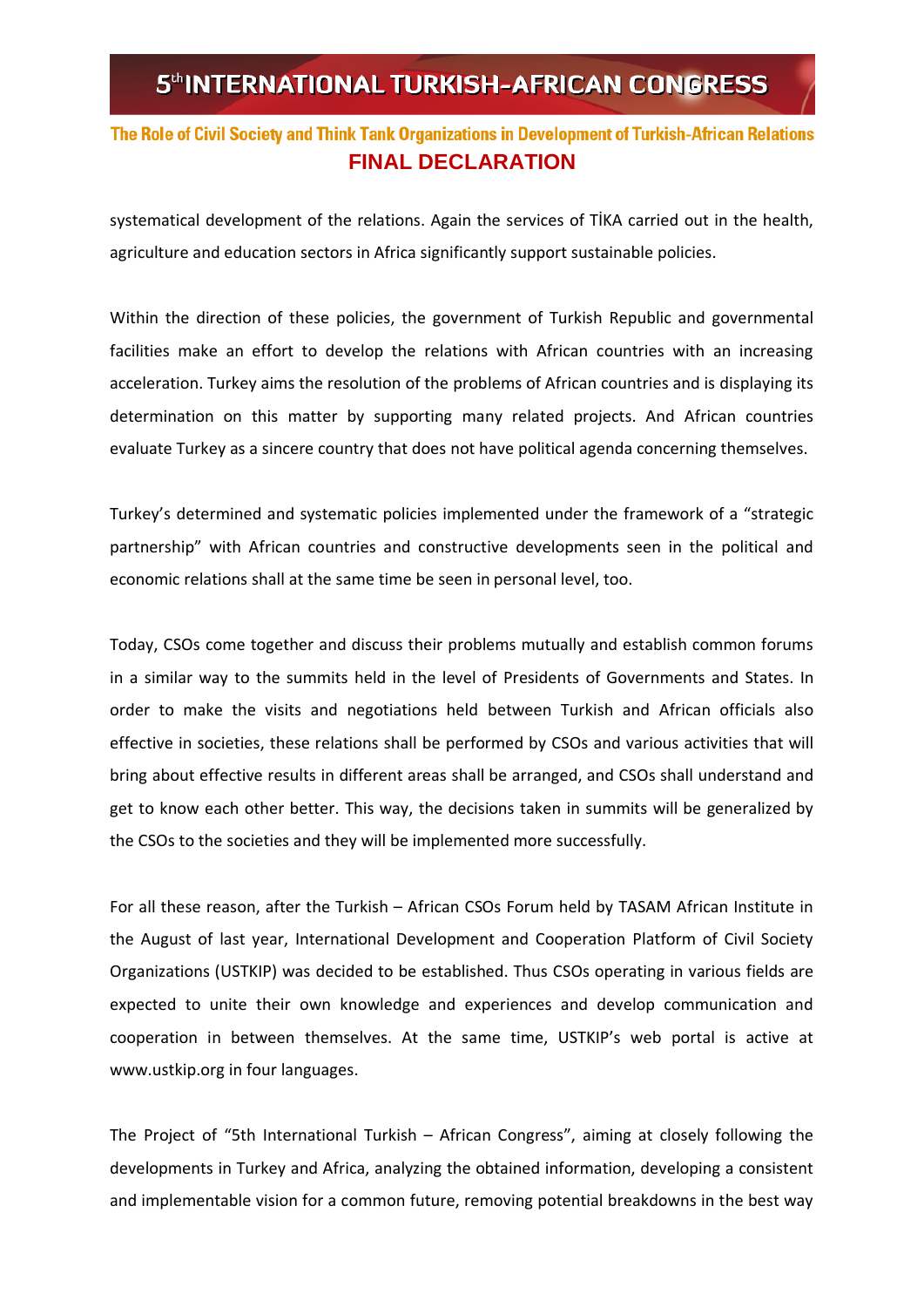systematical development of the relations. Again the services of TİKA carried out in the health, agriculture and education sectors in Africa significantly support sustainable policies.

Within the direction of these policies, the government of Turkish Republic and governmental facilities make an effort to develop the relations with African countries with an increasing acceleration. Turkey aims the resolution of the problems of African countries and is displaying its determination on this matter by supporting many related projects. And African countries evaluate Turkey as a sincere country that does not have political agenda concerning themselves.

Turkey's determined and systematic policies implemented under the framework of a "strategic partnership" with African countries and constructive developments seen in the political and economic relations shall at the same time be seen in personal level, too.

Today, CSOs come together and discuss their problems mutually and establish common forums in a similar way to the summits held in the level of Presidents of Governments and States. In order to make the visits and negotiations held between Turkish and African officials also effective in societies, these relations shall be performed by CSOs and various activities that will bring about effective results in different areas shall be arranged, and CSOs shall understand and get to know each other better. This way, the decisions taken in summits will be generalized by the CSOs to the societies and they will be implemented more successfully.

For all these reason, after the Turkish – African CSOs Forum held by TASAM African Institute in the August of last year, International Development and Cooperation Platform of Civil Society Organizations (USTKIP) was decided to be established. Thus CSOs operating in various fields are expected to unite their own knowledge and experiences and develop communication and cooperation in between themselves. At the same time, USTKIP's web portal is active at www.ustkip.org in four languages.

The Project of "5th International Turkish – African Congress", aiming at closely following the developments in Turkey and Africa, analyzing the obtained information, developing a consistent and implementable vision for a common future, removing potential breakdowns in the best way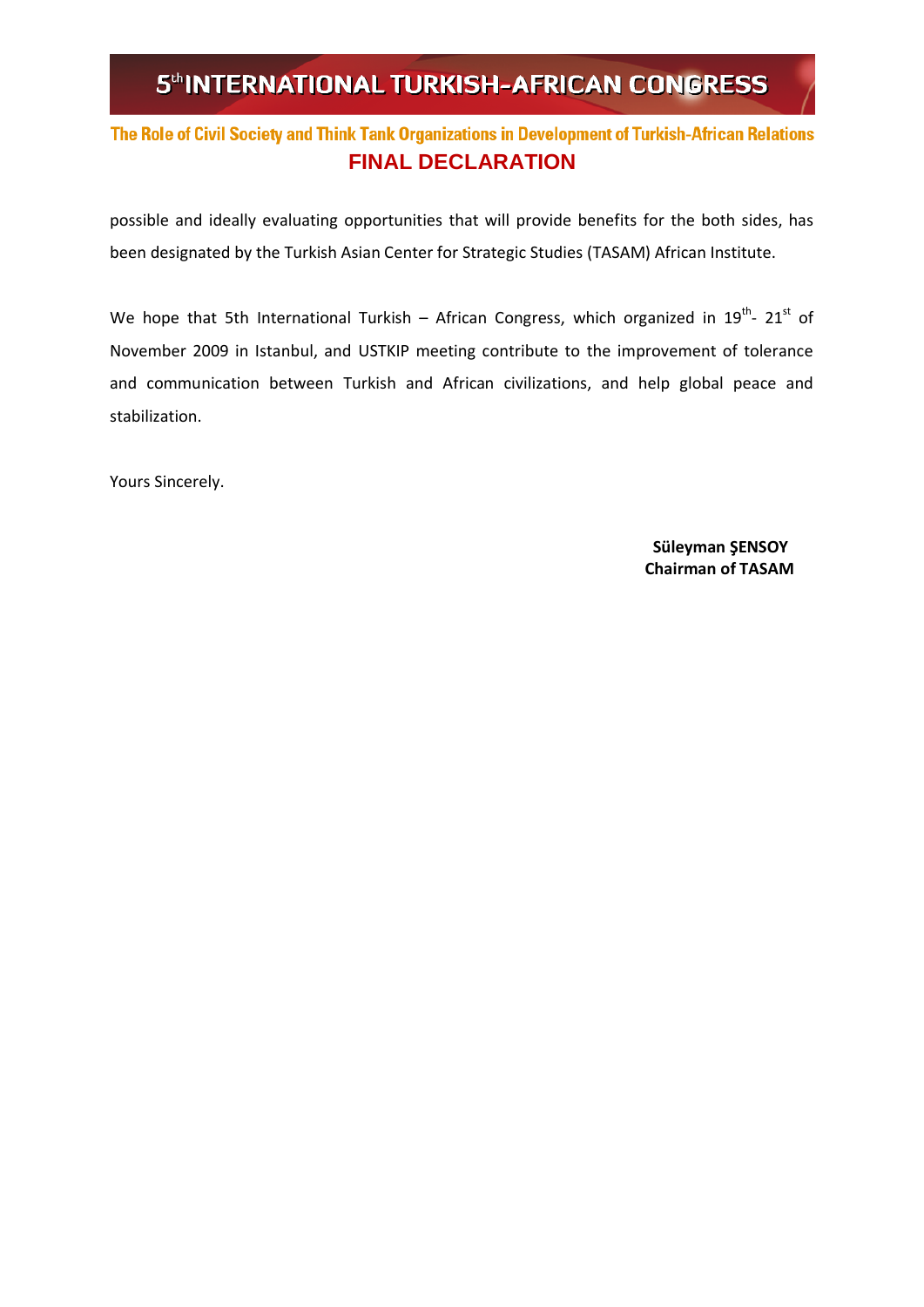#### The Role of Civil Society and Think Tank Organizations in Development of Turkish-African Relations **FINAL DECLARATION**

possible and ideally evaluating opportunities that will provide benefits for the both sides, has been designated by the Turkish Asian Center for Strategic Studies (TASAM) African Institute.

We hope that 5th International Turkish – African Congress, which organized in  $19^{th}$ -  $21^{st}$  of November 2009 in Istanbul, and USTKIP meeting contribute to the improvement of tolerance and communication between Turkish and African civilizations, and help global peace and stabilization.

Yours Sincerely.

 **Süleyman ŞENSOY Chairman of TASAM**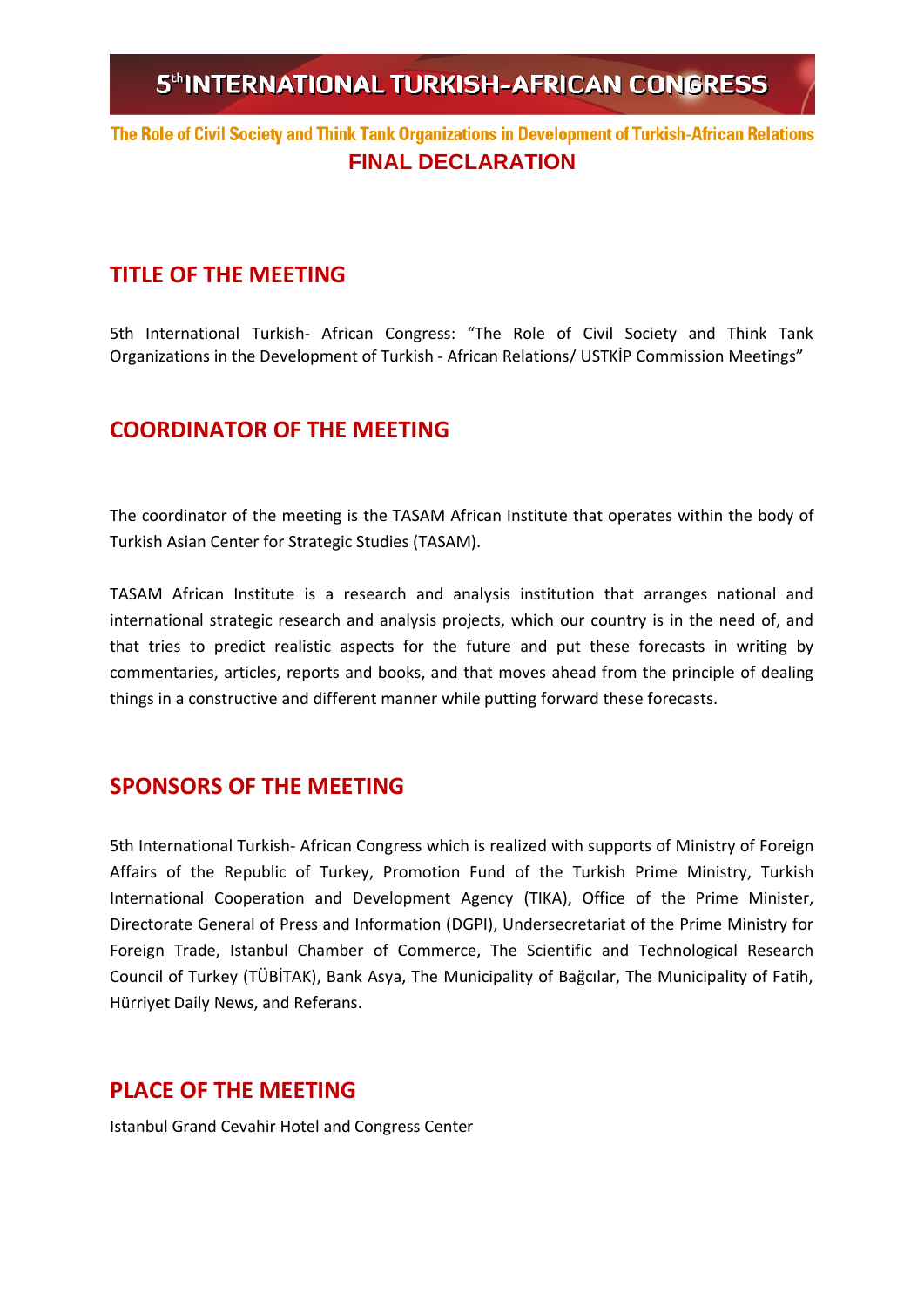#### **TITLE OF THE MEETING**

5th International Turkish- African Congress: "The Role of Civil Society and Think Tank Organizations in the Development of Turkish - African Relations/ USTKİP Commission Meetings"

#### **COORDINATOR OF THE MEETING**

The coordinator of the meeting is the TASAM African Institute that operates within the body of Turkish Asian Center for Strategic Studies (TASAM).

TASAM African Institute is a research and analysis institution that arranges national and international strategic research and analysis projects, which our country is in the need of, and that tries to predict realistic aspects for the future and put these forecasts in writing by commentaries, articles, reports and books, and that moves ahead from the principle of dealing things in a constructive and different manner while putting forward these forecasts.

#### **SPONSORS OF THE MEETING**

5th International Turkish- African Congress which is realized with supports of Ministry of Foreign Affairs of the Republic of Turkey, Promotion Fund of the Turkish Prime Ministry, Turkish International Cooperation and Development Agency (TIKA), Office of the Prime Minister, Directorate General of Press and Information (DGPI), Undersecretariat of the Prime Ministry for Foreign Trade, Istanbul Chamber of Commerce, The Scientific and Technological Research Council of Turkey (TÜBİTAK), Bank Asya, The Municipality of Bağcılar, The Municipality of Fatih, Hürriyet Daily News, and Referans.

#### **PLACE OF THE MEETING**

Istanbul Grand Cevahir Hotel and Congress Center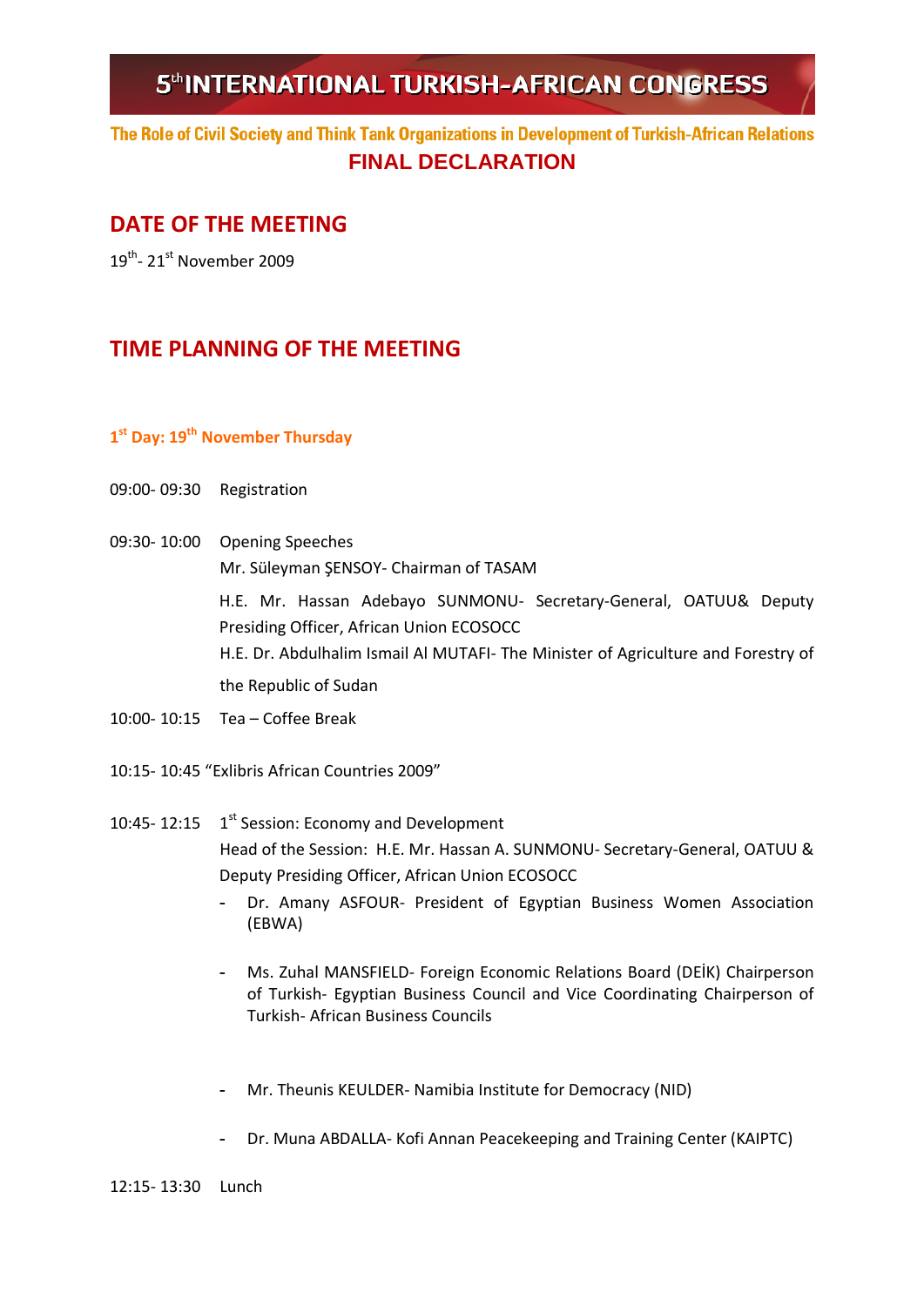The Role of Civil Society and Think Tank Organizations in Development of Turkish-African Relations **FINAL DECLARATION**

#### **DATE OF THE MEETING**

 $19^{th}$ - 21st November 2009

#### **TIME PLANNING OF THE MEETING**

#### **1st Day: 19th November Thursday**

- 09:00- 09:30 Registration
- 09:30- 10:00 Opening Speeches

Mr. Süleyman ŞENSOY- Chairman of TASAM

H.E. Mr. Hassan Adebayo SUNMONU- Secretary-General, OATUU& Deputy Presiding Officer, African Union ECOSOCC

H.E. Dr. Abdulhalim Ismail Al MUTAFI- The Minister of Agriculture and Forestry of the Republic of Sudan

- 10:00- 10:15 Tea Coffee Break
- 10:15- 10:45 "Exlibris African Countries 2009"
- 10:45- 12:15  $1^{st}$  Session: Economy and Development Head of the Session: H.E. Mr. Hassan A. SUNMONU- Secretary-General, OATUU & Deputy Presiding Officer, African Union ECOSOCC
	- **-** Dr. Amany ASFOUR- President of Egyptian Business Women Association (EBWA)
	- **-** Ms. Zuhal MANSFIELD- Foreign Economic Relations Board (DEİK) Chairperson of Turkish- Egyptian Business Council and Vice Coordinating Chairperson of Turkish- African Business Councils
	- **-** Mr. Theunis KEULDER- Namibia Institute for Democracy (NID)
	- **-** Dr. Muna ABDALLA- Kofi Annan Peacekeeping and Training Center (KAIPTC)
- 12:15- 13:30 Lunch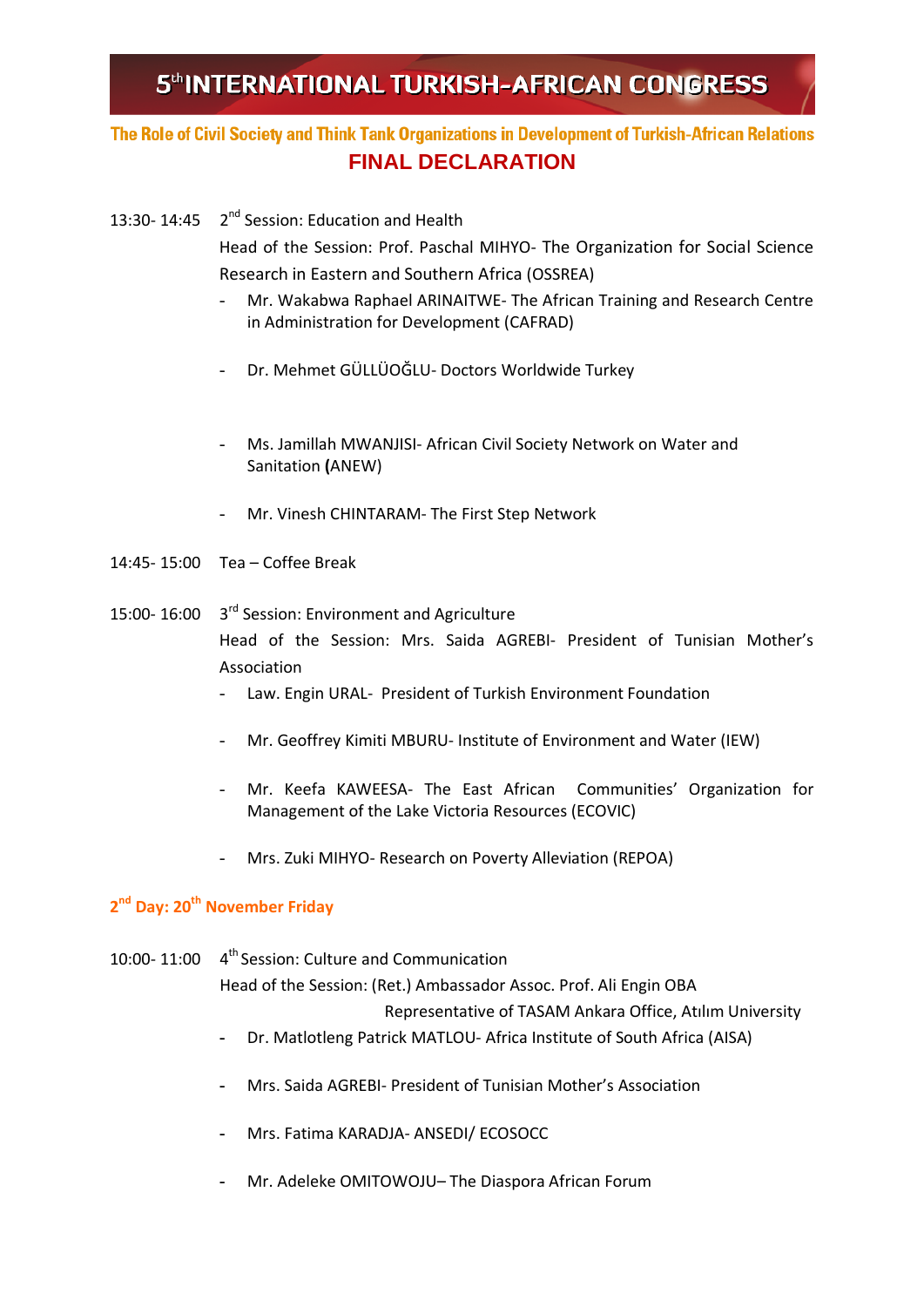13:30- 14:45 2<sup>nd</sup> Session: Education and Health

Head of the Session: Prof. Paschal MIHYO- The Organization for Social Science Research in Eastern and Southern Africa (OSSREA)

- Mr. Wakabwa Raphael ARINAITWE- The African Training and Research Centre in Administration for Development (CAFRAD)
- Dr. Mehmet GÜLLÜOĞLU- Doctors Worldwide Turkey
- Ms. Jamillah MWANJISI- African Civil Society Network on Water and Sanitation **(**ANEW)
- Mr. Vinesh CHINTARAM- The First Step Network
- 14:45- 15:00 Tea Coffee Break
- 15:00- 16:00 3rd Session: Environment and Agriculture Head of the Session: Mrs. Saida AGREBI- President of Tunisian Mother's Association
	- Law. Engin URAL- President of Turkish Environment Foundation
	- Mr. Geoffrey Kimiti MBURU- Institute of Environment and Water (IEW)
	- Mr. Keefa KAWEESA- The East African Communities' Organization for Management of the Lake Victoria Resources (ECOVIC)
	- Mrs. Zuki MIHYO- Research on Poverty Alleviation (REPOA)

#### **2nd Day: 20th November Friday**

10:00- 11:00 4<sup>th</sup> Session: Culture and Communication Head of the Session: (Ret.) Ambassador Assoc. Prof. Ali Engin OBA

Representative of TASAM Ankara Office, Atılım University

- **-** Dr. Matlotleng Patrick MATLOU- Africa Institute of South Africa (AISA)
- **-** Mrs. Saida AGREBI- President of Tunisian Mother's Association
- **-** Mrs. Fatima KARADJA- ANSEDI/ ECOSOCC
- **-** Mr. Adeleke OMITOWOJU– The Diaspora African Forum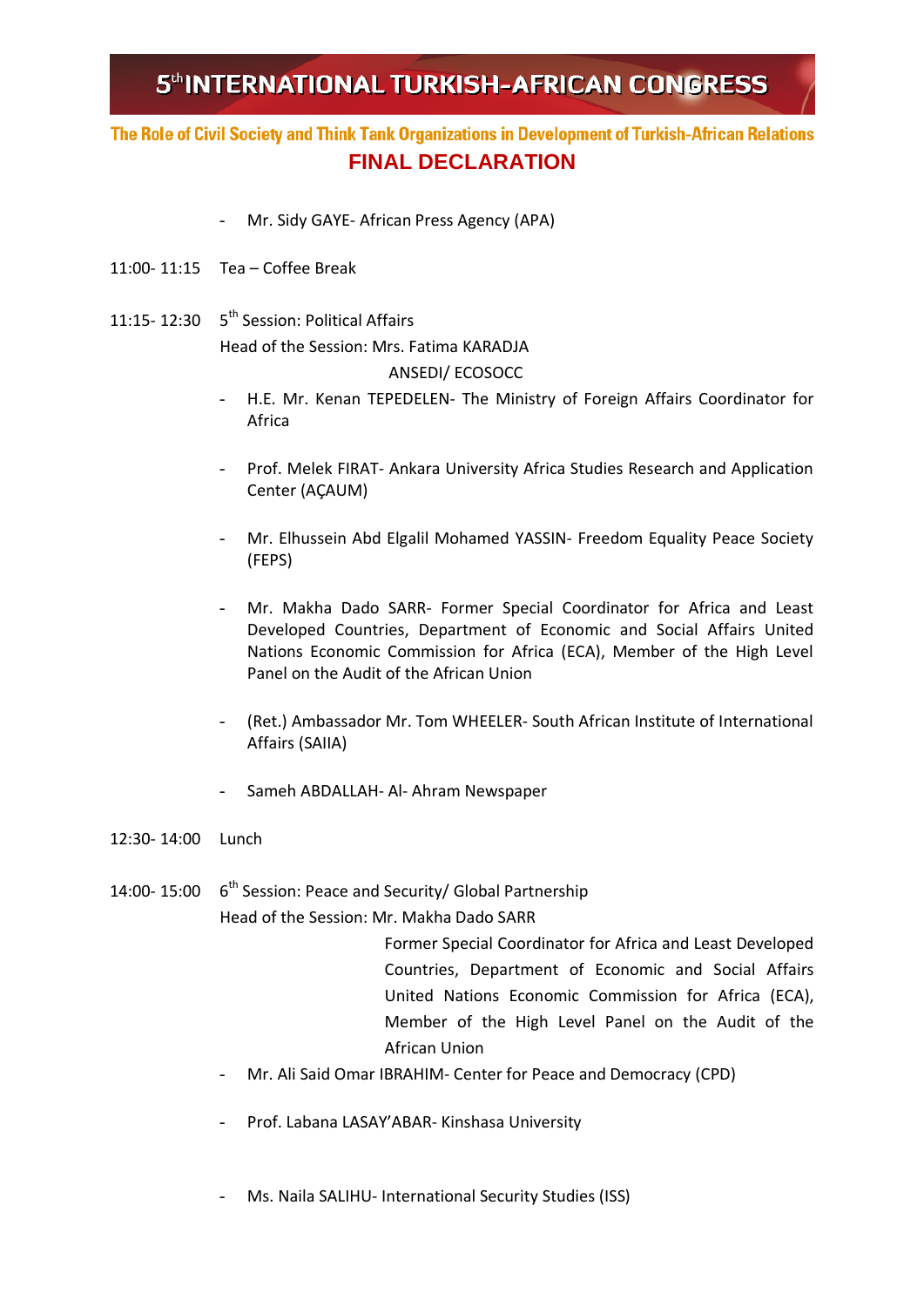#### The Role of Civil Society and Think Tank Organizations in Development of Turkish-African Relations **FINAL DECLARATION**

- Mr. Sidy GAYE- African Press Agency (APA)
- 11:00- 11:15 Tea Coffee Break
- 11:15- 12:30  $5<sup>th</sup>$  Session: Political Affairs Head of the Session: Mrs. Fatima KARADJA ANSEDI/ ECOSOCC
	- H.E. Mr. Kenan TEPEDELEN- The Ministry of Foreign Affairs Coordinator for Africa
	- Prof. Melek FIRAT- Ankara University Africa Studies Research and Application Center (AÇAUM)
	- Mr. Elhussein Abd Elgalil Mohamed YASSIN- Freedom Equality Peace Society (FEPS)
	- Mr. Makha Dado SARR- Former Special Coordinator for Africa and Least Developed Countries, Department of Economic and Social Affairs United Nations Economic Commission for Africa (ECA), Member of the High Level Panel on the Audit of the African Union
	- (Ret.) Ambassador Mr. Tom WHEELER- South African Institute of International Affairs (SAIIA)
	- Sameh ABDALLAH- Al- Ahram Newspaper
- 12:30- 14:00 Lunch

14:00- 15:00  $6<sup>th</sup>$  Session: Peace and Security/ Global Partnership Head of the Session: Mr. Makha Dado SARR

> Former Special Coordinator for Africa and Least Developed Countries, Department of Economic and Social Affairs United Nations Economic Commission for Africa (ECA), Member of the High Level Panel on the Audit of the African Union

- Mr. Ali Said Omar IBRAHIM- Center for Peace and Democracy (CPD)
- Prof. Labana LASAY'ABAR- Kinshasa University
- Ms. Naila SALIHU- International Security Studies (ISS)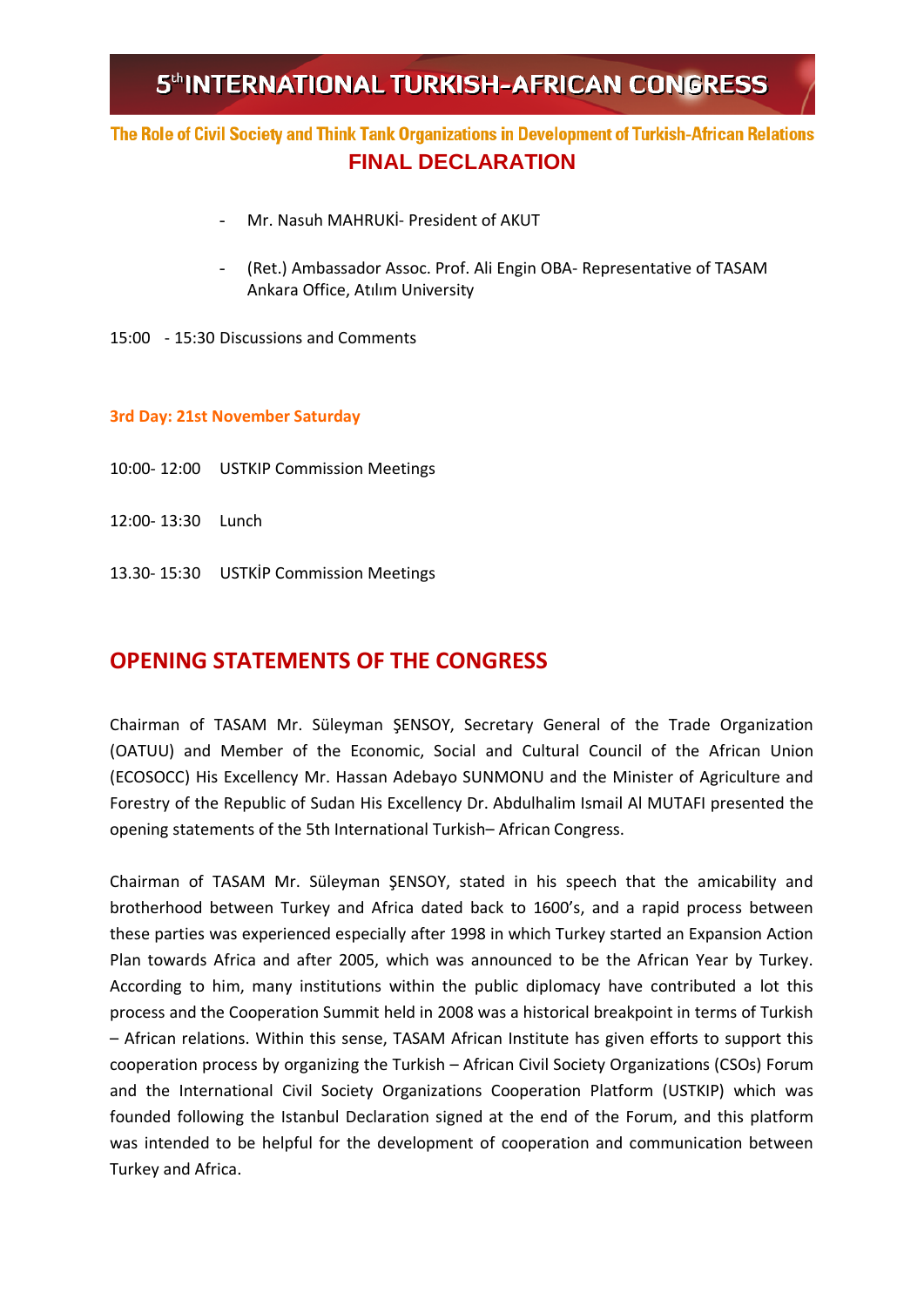#### The Role of Civil Society and Think Tank Organizations in Development of Turkish-African Relations **FINAL DECLARATION**

- Mr. Nasuh MAHRUKİ- President of AKUT
- (Ret.) Ambassador Assoc. Prof. Ali Engin OBA- Representative of TASAM Ankara Office, Atılım University
- 15:00 15:30 Discussions and Comments

#### **3rd Day: 21st November Saturday**

- 10:00- 12:00 USTKIP Commission Meetings
- 12:00- 13:30 Lunch
- 13.30- 15:30 USTKİP Commission Meetings

#### **OPENING STATEMENTS OF THE CONGRESS**

Chairman of TASAM Mr. Süleyman ŞENSOY, Secretary General of the Trade Organization (OATUU) and Member of the Economic, Social and Cultural Council of the African Union (ECOSOCC) His Excellency Mr. Hassan Adebayo SUNMONU and the Minister of Agriculture and Forestry of the Republic of Sudan His Excellency Dr. Abdulhalim Ismail Al MUTAFI presented the opening statements of the 5th International Turkish– African Congress.

Chairman of TASAM Mr. Süleyman ŞENSOY, stated in his speech that the amicability and brotherhood between Turkey and Africa dated back to 1600's, and a rapid process between these parties was experienced especially after 1998 in which Turkey started an Expansion Action Plan towards Africa and after 2005, which was announced to be the African Year by Turkey. According to him, many institutions within the public diplomacy have contributed a lot this process and the Cooperation Summit held in 2008 was a historical breakpoint in terms of Turkish – African relations. Within this sense, TASAM African Institute has given efforts to support this cooperation process by organizing the Turkish – African Civil Society Organizations (CSOs) Forum and the International Civil Society Organizations Cooperation Platform (USTKIP) which was founded following the Istanbul Declaration signed at the end of the Forum, and this platform was intended to be helpful for the development of cooperation and communication between Turkey and Africa.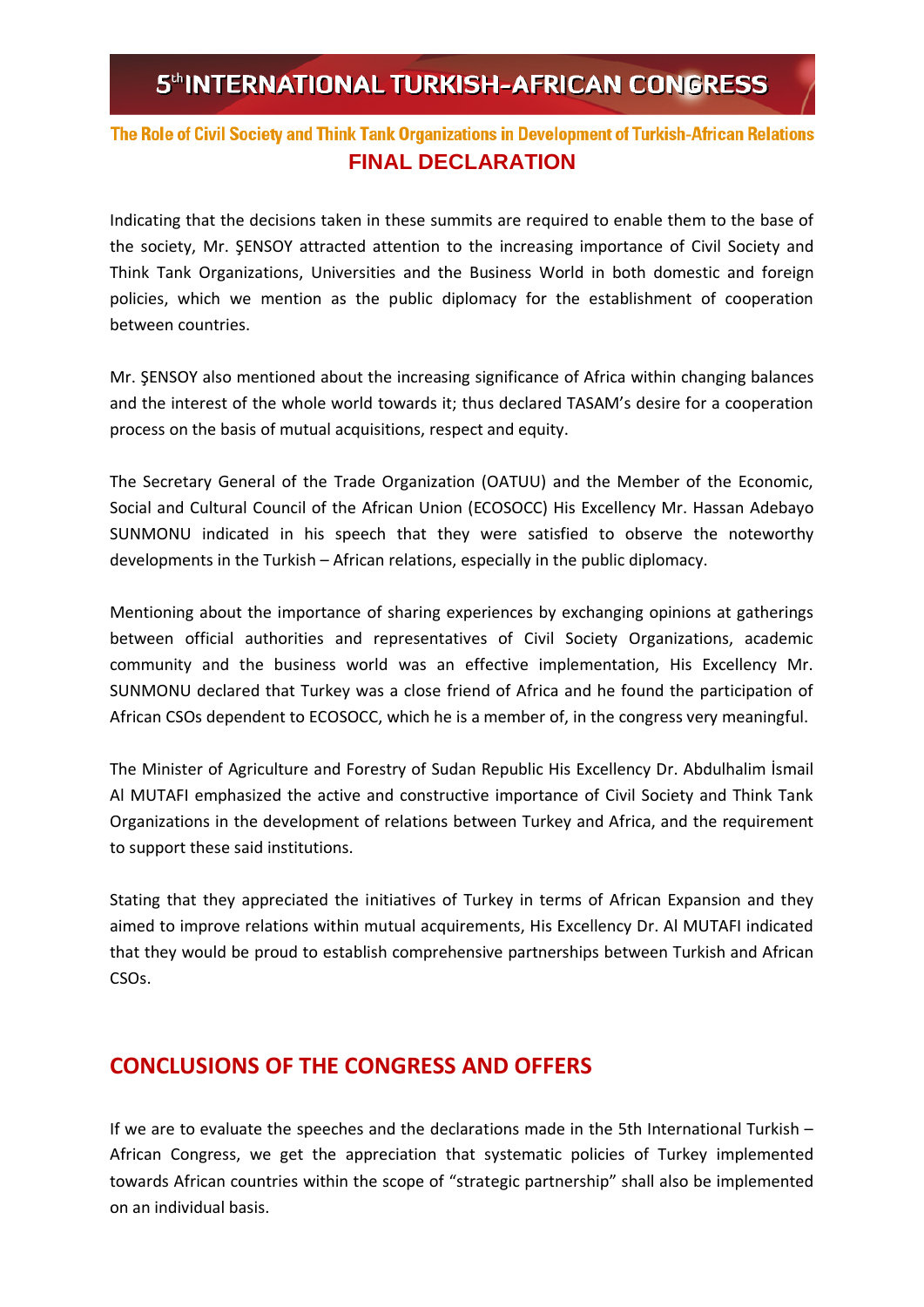Indicating that the decisions taken in these summits are required to enable them to the base of the society, Mr. ŞENSOY attracted attention to the increasing importance of Civil Society and Think Tank Organizations, Universities and the Business World in both domestic and foreign policies, which we mention as the public diplomacy for the establishment of cooperation between countries.

Mr. ŞENSOY also mentioned about the increasing significance of Africa within changing balances and the interest of the whole world towards it; thus declared TASAM's desire for a cooperation process on the basis of mutual acquisitions, respect and equity.

The Secretary General of the Trade Organization (OATUU) and the Member of the Economic, Social and Cultural Council of the African Union (ECOSOCC) His Excellency Mr. Hassan Adebayo SUNMONU indicated in his speech that they were satisfied to observe the noteworthy developments in the Turkish – African relations, especially in the public diplomacy.

Mentioning about the importance of sharing experiences by exchanging opinions at gatherings between official authorities and representatives of Civil Society Organizations, academic community and the business world was an effective implementation, His Excellency Mr. SUNMONU declared that Turkey was a close friend of Africa and he found the participation of African CSOs dependent to ECOSOCC, which he is a member of, in the congress very meaningful.

The Minister of Agriculture and Forestry of Sudan Republic His Excellency Dr. Abdulhalim İsmail Al MUTAFI emphasized the active and constructive importance of Civil Society and Think Tank Organizations in the development of relations between Turkey and Africa, and the requirement to support these said institutions.

Stating that they appreciated the initiatives of Turkey in terms of African Expansion and they aimed to improve relations within mutual acquirements, His Excellency Dr. Al MUTAFI indicated that they would be proud to establish comprehensive partnerships between Turkish and African CSOs.

#### **CONCLUSIONS OF THE CONGRESS AND OFFERS**

If we are to evaluate the speeches and the declarations made in the 5th International Turkish – African Congress, we get the appreciation that systematic policies of Turkey implemented towards African countries within the scope of "strategic partnership" shall also be implemented on an individual basis.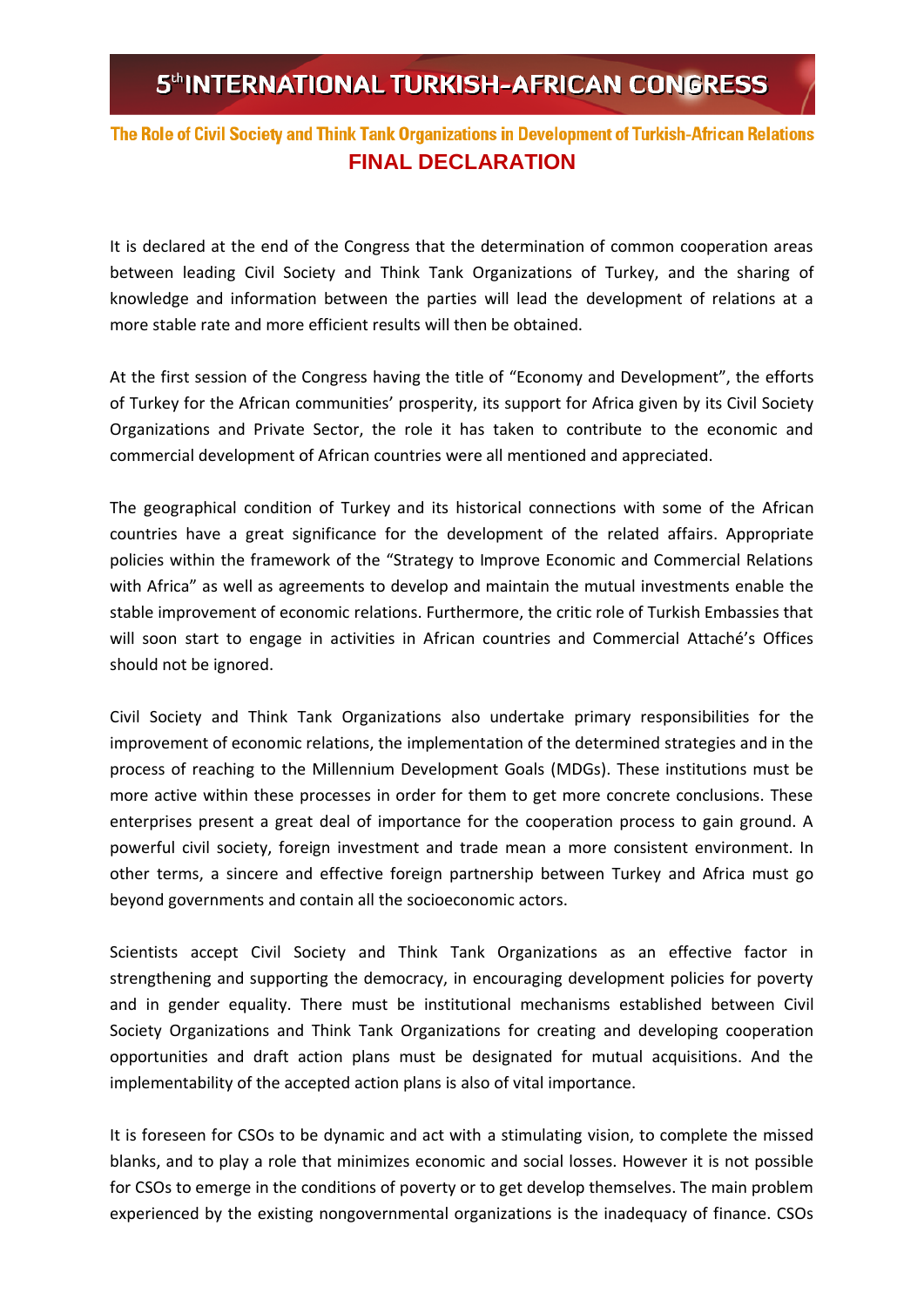It is declared at the end of the Congress that the determination of common cooperation areas between leading Civil Society and Think Tank Organizations of Turkey, and the sharing of knowledge and information between the parties will lead the development of relations at a more stable rate and more efficient results will then be obtained.

At the first session of the Congress having the title of "Economy and Development", the efforts of Turkey for the African communities' prosperity, its support for Africa given by its Civil Society Organizations and Private Sector, the role it has taken to contribute to the economic and commercial development of African countries were all mentioned and appreciated.

The geographical condition of Turkey and its historical connections with some of the African countries have a great significance for the development of the related affairs. Appropriate policies within the framework of the "Strategy to Improve Economic and Commercial Relations with Africa" as well as agreements to develop and maintain the mutual investments enable the stable improvement of economic relations. Furthermore, the critic role of Turkish Embassies that will soon start to engage in activities in African countries and Commercial Attaché's Offices should not be ignored.

Civil Society and Think Tank Organizations also undertake primary responsibilities for the improvement of economic relations, the implementation of the determined strategies and in the process of reaching to the Millennium Development Goals (MDGs). These institutions must be more active within these processes in order for them to get more concrete conclusions. These enterprises present a great deal of importance for the cooperation process to gain ground. A powerful civil society, foreign investment and trade mean a more consistent environment. In other terms, a sincere and effective foreign partnership between Turkey and Africa must go beyond governments and contain all the socioeconomic actors.

Scientists accept Civil Society and Think Tank Organizations as an effective factor in strengthening and supporting the democracy, in encouraging development policies for poverty and in gender equality. There must be institutional mechanisms established between Civil Society Organizations and Think Tank Organizations for creating and developing cooperation opportunities and draft action plans must be designated for mutual acquisitions. And the implementability of the accepted action plans is also of vital importance.

It is foreseen for CSOs to be dynamic and act with a stimulating vision, to complete the missed blanks, and to play a role that minimizes economic and social losses. However it is not possible for CSOs to emerge in the conditions of poverty or to get develop themselves. The main problem experienced by the existing nongovernmental organizations is the inadequacy of finance. CSOs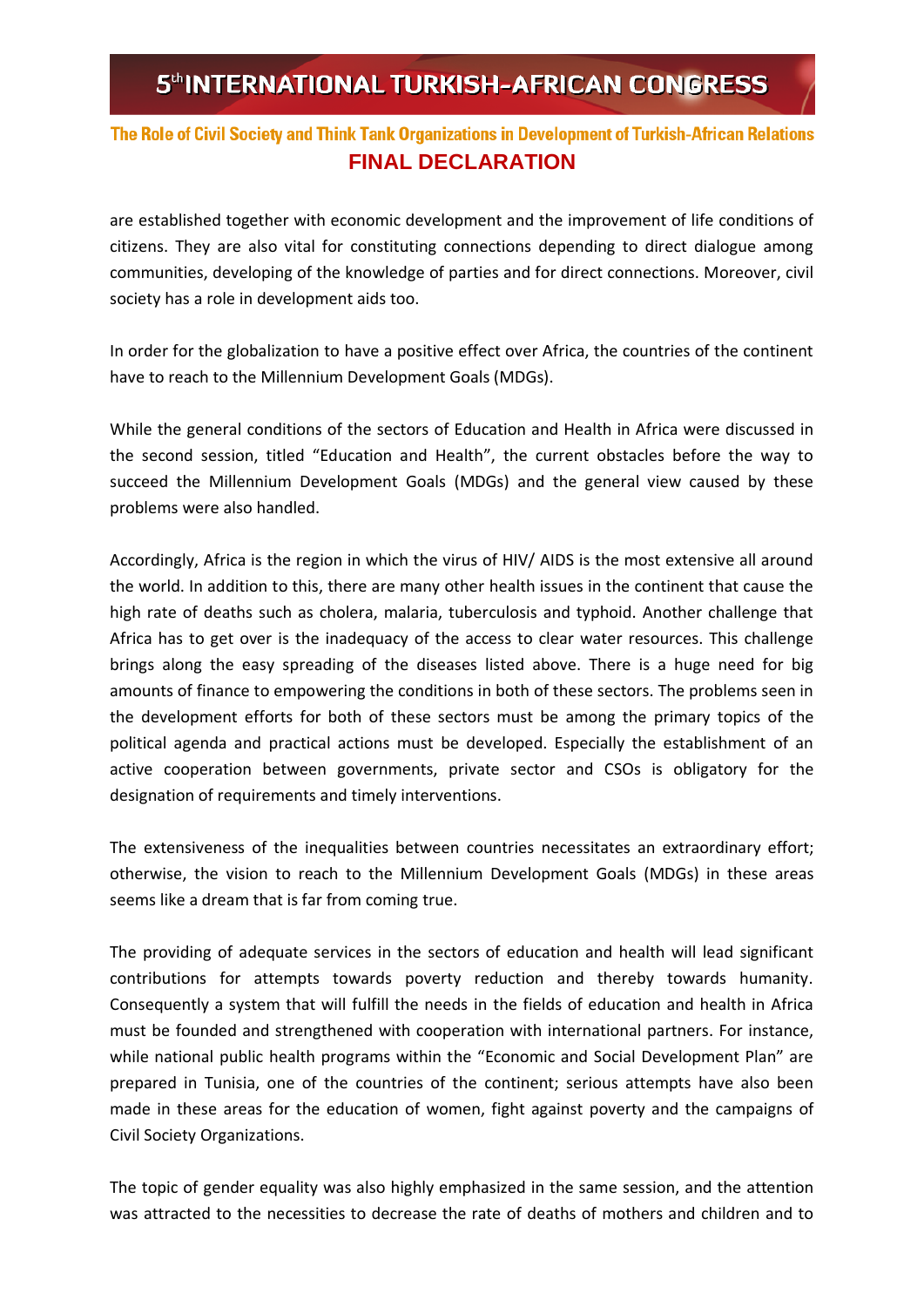are established together with economic development and the improvement of life conditions of citizens. They are also vital for constituting connections depending to direct dialogue among communities, developing of the knowledge of parties and for direct connections. Moreover, civil society has a role in development aids too.

In order for the globalization to have a positive effect over Africa, the countries of the continent have to reach to the Millennium Development Goals (MDGs).

While the general conditions of the sectors of Education and Health in Africa were discussed in the second session, titled "Education and Health", the current obstacles before the way to succeed the Millennium Development Goals (MDGs) and the general view caused by these problems were also handled.

Accordingly, Africa is the region in which the virus of HIV/ AIDS is the most extensive all around the world. In addition to this, there are many other health issues in the continent that cause the high rate of deaths such as cholera, malaria, tuberculosis and typhoid. Another challenge that Africa has to get over is the inadequacy of the access to clear water resources. This challenge brings along the easy spreading of the diseases listed above. There is a huge need for big amounts of finance to empowering the conditions in both of these sectors. The problems seen in the development efforts for both of these sectors must be among the primary topics of the political agenda and practical actions must be developed. Especially the establishment of an active cooperation between governments, private sector and CSOs is obligatory for the designation of requirements and timely interventions.

The extensiveness of the inequalities between countries necessitates an extraordinary effort; otherwise, the vision to reach to the Millennium Development Goals (MDGs) in these areas seems like a dream that is far from coming true.

The providing of adequate services in the sectors of education and health will lead significant contributions for attempts towards poverty reduction and thereby towards humanity. Consequently a system that will fulfill the needs in the fields of education and health in Africa must be founded and strengthened with cooperation with international partners. For instance, while national public health programs within the "Economic and Social Development Plan" are prepared in Tunisia, one of the countries of the continent; serious attempts have also been made in these areas for the education of women, fight against poverty and the campaigns of Civil Society Organizations.

The topic of gender equality was also highly emphasized in the same session, and the attention was attracted to the necessities to decrease the rate of deaths of mothers and children and to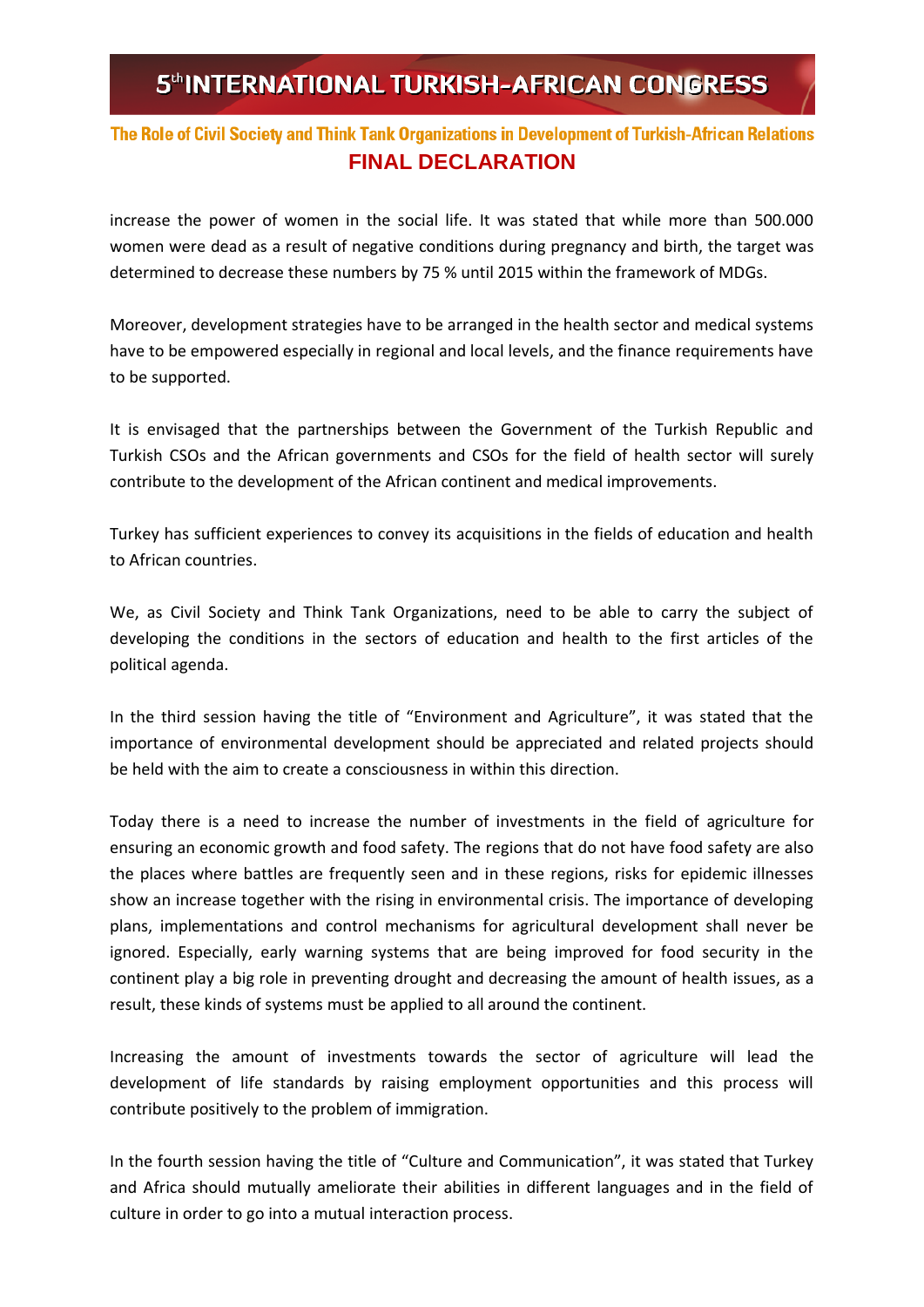#### The Role of Civil Society and Think Tank Organizations in Development of Turkish-African Relations **FINAL DECLARATION**

increase the power of women in the social life. It was stated that while more than 500.000 women were dead as a result of negative conditions during pregnancy and birth, the target was determined to decrease these numbers by 75 % until 2015 within the framework of MDGs.

Moreover, development strategies have to be arranged in the health sector and medical systems have to be empowered especially in regional and local levels, and the finance requirements have to be supported.

It is envisaged that the partnerships between the Government of the Turkish Republic and Turkish CSOs and the African governments and CSOs for the field of health sector will surely contribute to the development of the African continent and medical improvements.

Turkey has sufficient experiences to convey its acquisitions in the fields of education and health to African countries.

We, as Civil Society and Think Tank Organizations, need to be able to carry the subject of developing the conditions in the sectors of education and health to the first articles of the political agenda.

In the third session having the title of "Environment and Agriculture", it was stated that the importance of environmental development should be appreciated and related projects should be held with the aim to create a consciousness in within this direction.

Today there is a need to increase the number of investments in the field of agriculture for ensuring an economic growth and food safety. The regions that do not have food safety are also the places where battles are frequently seen and in these regions, risks for epidemic illnesses show an increase together with the rising in environmental crisis. The importance of developing plans, implementations and control mechanisms for agricultural development shall never be ignored. Especially, early warning systems that are being improved for food security in the continent play a big role in preventing drought and decreasing the amount of health issues, as a result, these kinds of systems must be applied to all around the continent.

Increasing the amount of investments towards the sector of agriculture will lead the development of life standards by raising employment opportunities and this process will contribute positively to the problem of immigration.

In the fourth session having the title of "Culture and Communication", it was stated that Turkey and Africa should mutually ameliorate their abilities in different languages and in the field of culture in order to go into a mutual interaction process.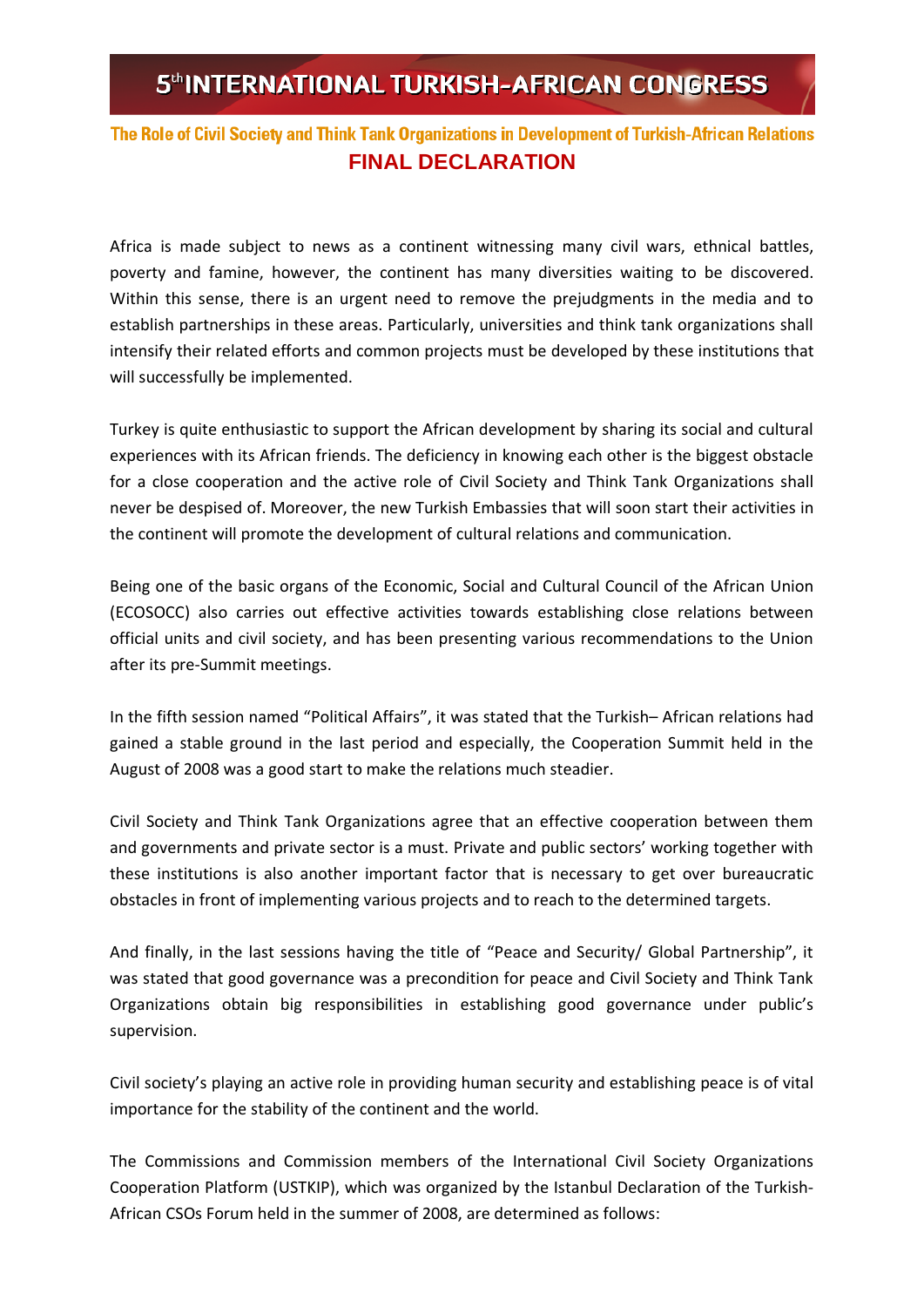#### The Role of Civil Society and Think Tank Organizations in Development of Turkish-African Relations **FINAL DECLARATION**

Africa is made subject to news as a continent witnessing many civil wars, ethnical battles, poverty and famine, however, the continent has many diversities waiting to be discovered. Within this sense, there is an urgent need to remove the prejudgments in the media and to establish partnerships in these areas. Particularly, universities and think tank organizations shall intensify their related efforts and common projects must be developed by these institutions that will successfully be implemented.

Turkey is quite enthusiastic to support the African development by sharing its social and cultural experiences with its African friends. The deficiency in knowing each other is the biggest obstacle for a close cooperation and the active role of Civil Society and Think Tank Organizations shall never be despised of. Moreover, the new Turkish Embassies that will soon start their activities in the continent will promote the development of cultural relations and communication.

Being one of the basic organs of the Economic, Social and Cultural Council of the African Union (ECOSOCC) also carries out effective activities towards establishing close relations between official units and civil society, and has been presenting various recommendations to the Union after its pre-Summit meetings.

In the fifth session named "Political Affairs", it was stated that the Turkish– African relations had gained a stable ground in the last period and especially, the Cooperation Summit held in the August of 2008 was a good start to make the relations much steadier.

Civil Society and Think Tank Organizations agree that an effective cooperation between them and governments and private sector is a must. Private and public sectors' working together with these institutions is also another important factor that is necessary to get over bureaucratic obstacles in front of implementing various projects and to reach to the determined targets.

And finally, in the last sessions having the title of "Peace and Security/ Global Partnership", it was stated that good governance was a precondition for peace and Civil Society and Think Tank Organizations obtain big responsibilities in establishing good governance under public's supervision.

Civil society's playing an active role in providing human security and establishing peace is of vital importance for the stability of the continent and the world.

The Commissions and Commission members of the International Civil Society Organizations Cooperation Platform (USTKIP), which was organized by the Istanbul Declaration of the Turkish-African CSOs Forum held in the summer of 2008, are determined as follows: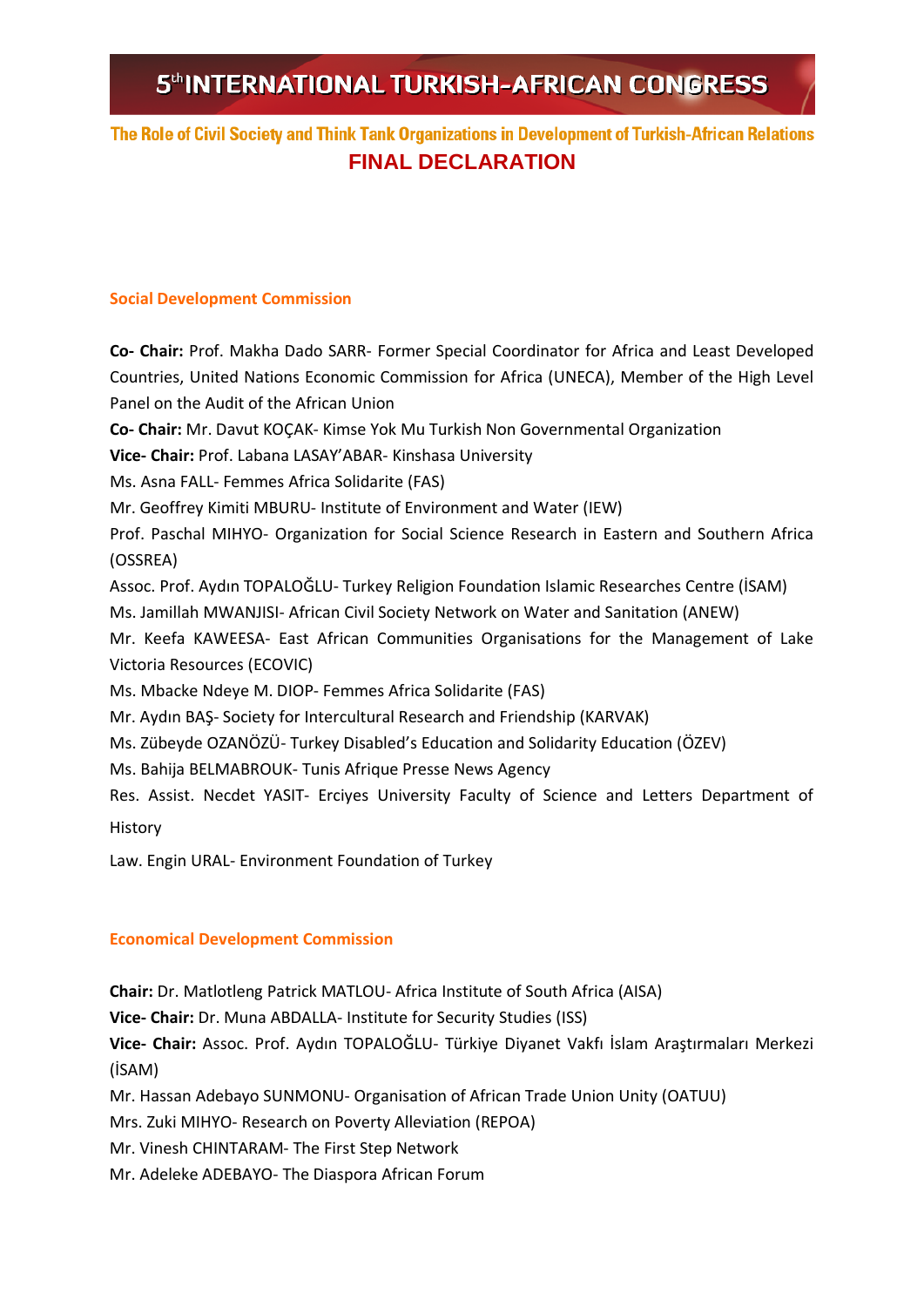#### The Role of Civil Society and Think Tank Organizations in Development of Turkish-African Relations **FINAL DECLARATION**

#### **Social Development Commission**

**Co- Chair:** Prof. Makha Dado SARR- Former Special Coordinator for Africa and Least Developed Countries, United Nations Economic Commission for Africa (UNECA), Member of the High Level Panel on the Audit of the African Union

**Co- Chair:** Mr. Davut KOÇAK- Kimse Yok Mu Turkish Non Governmental Organization

**Vice- Chair:** Prof. Labana LASAY'ABAR- Kinshasa University

Ms. Asna FALL- Femmes Africa Solidarite (FAS)

Mr. Geoffrey Kimiti MBURU- Institute of Environment and Water (IEW)

Prof. Paschal MIHYO- Organization for Social Science Research in Eastern and Southern Africa (OSSREA)

Assoc. Prof. Aydın TOPALOĞLU- Turkey Religion Foundation Islamic Researches Centre (İSAM)

Ms. Jamillah MWANJISI- African Civil Society Network on Water and Sanitation (ANEW)

Mr. Keefa KAWEESA- East African Communities Organisations for the Management of Lake Victoria Resources (ECOVIC)

Ms. Mbacke Ndeye M. DIOP- Femmes Africa Solidarite (FAS)

Mr. Aydın BAŞ- Society for Intercultural Research and Friendship (KARVAK)

Ms. Zübeyde OZANÖZÜ- Turkey Disabled's Education and Solidarity Education (ÖZEV)

Ms. Bahija BELMABROUK- Tunis Afrique Presse News Agency

Res. Assist. Necdet YASIT- Erciyes University Faculty of Science and Letters Department of History

Law. Engin URAL- Environment Foundation of Turkey

#### **Economical Development Commission**

**Chair:** Dr. Matlotleng Patrick MATLOU- Africa Institute of South Africa (AISA) **Vice- Chair:** Dr. Muna ABDALLA- Institute for Security Studies (ISS) **Vice- Chair:** Assoc. Prof. Aydın TOPALOĞLU- Türkiye Diyanet Vakfı İslam Araştırmaları Merkezi (İSAM) Mr. Hassan Adebayo SUNMONU- Organisation of African Trade Union Unity (OATUU) Mrs. Zuki MIHYO- Research on Poverty Alleviation (REPOA) Mr. Vinesh CHINTARAM- The First Step Network Mr. Adeleke ADEBAYO- The Diaspora African Forum